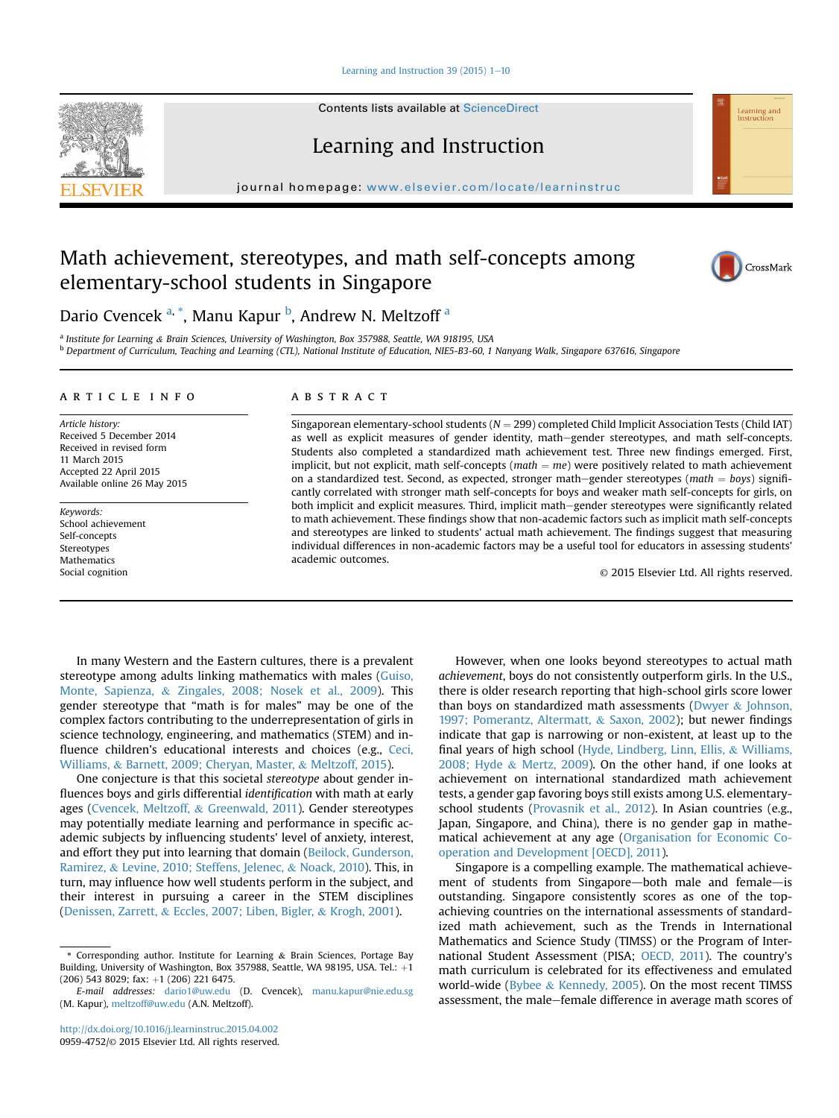Learning and Instruction 39 (2015)  $1-10$  $1-10$ 

Contents lists available at ScienceDirect



journal homepage: [www.elsevier.com/locate/learninstruc](http://www.elsevier.com/locate/learninstruc)

# Math achievement, stereotypes, and math self-concepts among elementary-school students in Singapore



Learning and<br>Instruction

Dario Cvencek <sup>a, \*</sup>, Manu Kapur <sup>b</sup>, Andrew N. Meltzoff <sup>a</sup>

<sup>a</sup> Institute for Learning & Brain Sciences, University of Washington, Box 357988, Seattle, WA 918195, USA <sup>b</sup> Department of Curriculum, Teaching and Learning (CTL), National Institute of Education, NIE5-B3-60, 1 Nanyang Walk, Singapore 637616, Singapore

#### article info

Article history: Received 5 December 2014 Received in revised form 11 March 2015 Accepted 22 April 2015 Available online 26 May 2015

Keywords: School achievement Self-concepts Stereotypes **Mathematics** Social cognition

# **ABSTRACT**

Singaporean elementary-school students ( $N = 299$ ) completed Child Implicit Association Tests (Child IAT) as well as explicit measures of gender identity, mathegender stereotypes, and math self-concepts. Students also completed a standardized math achievement test. Three new findings emerged. First, implicit, but not explicit, math self-concepts ( $math = me$ ) were positively related to math achievement on a standardized test. Second, as expected, stronger math–gender stereotypes (math  $=$  boys) significantly correlated with stronger math self-concepts for boys and weaker math self-concepts for girls, on both implicit and explicit measures. Third, implicit math-gender stereotypes were significantly related to math achievement. These findings show that non-academic factors such as implicit math self-concepts and stereotypes are linked to students' actual math achievement. The findings suggest that measuring individual differences in non-academic factors may be a useful tool for educators in assessing students' academic outcomes.

© 2015 Elsevier Ltd. All rights reserved.

In many Western and the Eastern cultures, there is a prevalent stereotype among adults linking mathematics with males [\(Guiso,](#page-8-0) [Monte, Sapienza,](#page-8-0) & [Zingales, 2008; Nosek et al., 2009\)](#page-8-0). This gender stereotype that "math is for males" may be one of the complex factors contributing to the underrepresentation of girls in science technology, engineering, and mathematics (STEM) and influence children's educational interests and choices (e.g., [Ceci,](#page-8-0) [Williams,](#page-8-0) & [Barnett, 2009; Cheryan, Master,](#page-8-0) & [Meltzoff, 2015\)](#page-8-0).

One conjecture is that this societal stereotype about gender influences boys and girls differential identification with math at early ages [\(Cvencek, Meltzoff,](#page-8-0) & [Greenwald, 2011](#page-8-0)). Gender stereotypes may potentially mediate learning and performance in specific academic subjects by influencing students' level of anxiety, interest, and effort they put into learning that domain ([Beilock, Gunderson,](#page-8-0) [Ramirez,](#page-8-0) & [Levine, 2010; Steffens, Jelenec,](#page-8-0) & [Noack, 2010\)](#page-8-0). This, in turn, may influence how well students perform in the subject, and their interest in pursuing a career in the STEM disciplines ([Denissen, Zarrett,](#page-8-0) & [Eccles, 2007; Liben, Bigler,](#page-8-0) & [Krogh, 2001\)](#page-8-0).

However, when one looks beyond stereotypes to actual math achievement, boys do not consistently outperform girls. In the U.S., there is older research reporting that high-school girls score lower than boys on standardized math assessments ([Dwyer](#page-8-0)  $&$  [Johnson,](#page-8-0) [1997; Pomerantz, Altermatt,](#page-8-0) & [Saxon, 2002\)](#page-8-0); but newer findings indicate that gap is narrowing or non-existent, at least up to the final years of high school ([Hyde, Lindberg, Linn, Ellis,](#page-8-0) & [Williams,](#page-8-0) [2008; Hyde](#page-8-0) & [Mertz, 2009\)](#page-8-0). On the other hand, if one looks at achievement on international standardized math achievement tests, a gender gap favoring boys still exists among U.S. elementaryschool students [\(Provasnik et al., 2012](#page-9-0)). In Asian countries (e.g., Japan, Singapore, and China), there is no gender gap in mathematical achievement at any age ([Organisation for Economic Co](#page-9-0)[operation and Development \[OECD\], 2011\)](#page-9-0).

Singapore is a compelling example. The mathematical achievement of students from Singapore-both male and female-is outstanding. Singapore consistently scores as one of the topachieving countries on the international assessments of standardized math achievement, such as the Trends in International Mathematics and Science Study (TIMSS) or the Program of International Student Assessment (PISA; [OECD, 2011\)](#page-9-0). The country's math curriculum is celebrated for its effectiveness and emulated world-wide ([Bybee](#page-8-0) & [Kennedy, 2005\)](#page-8-0). On the most recent TIMSS assessment, the male-female difference in average math scores of



<sup>\*</sup> Corresponding author. Institute for Learning & Brain Sciences, Portage Bay Building, University of Washington, Box 357988, Seattle, WA 98195, USA. Tel.:  $+1$  $(206)$  543 8029; fax:  $+1$  (206) 221 6475.

E-mail addresses: [dario1@uw.edu](mailto:dario1@uw.edu) (D. Cvencek), [manu.kapur@nie.edu.sg](mailto:manu.kapur@nie.edu.sg) (M. Kapur), [meltzoff@uw.edu](mailto:meltzoff@uw.edu) (A.N. Meltzoff).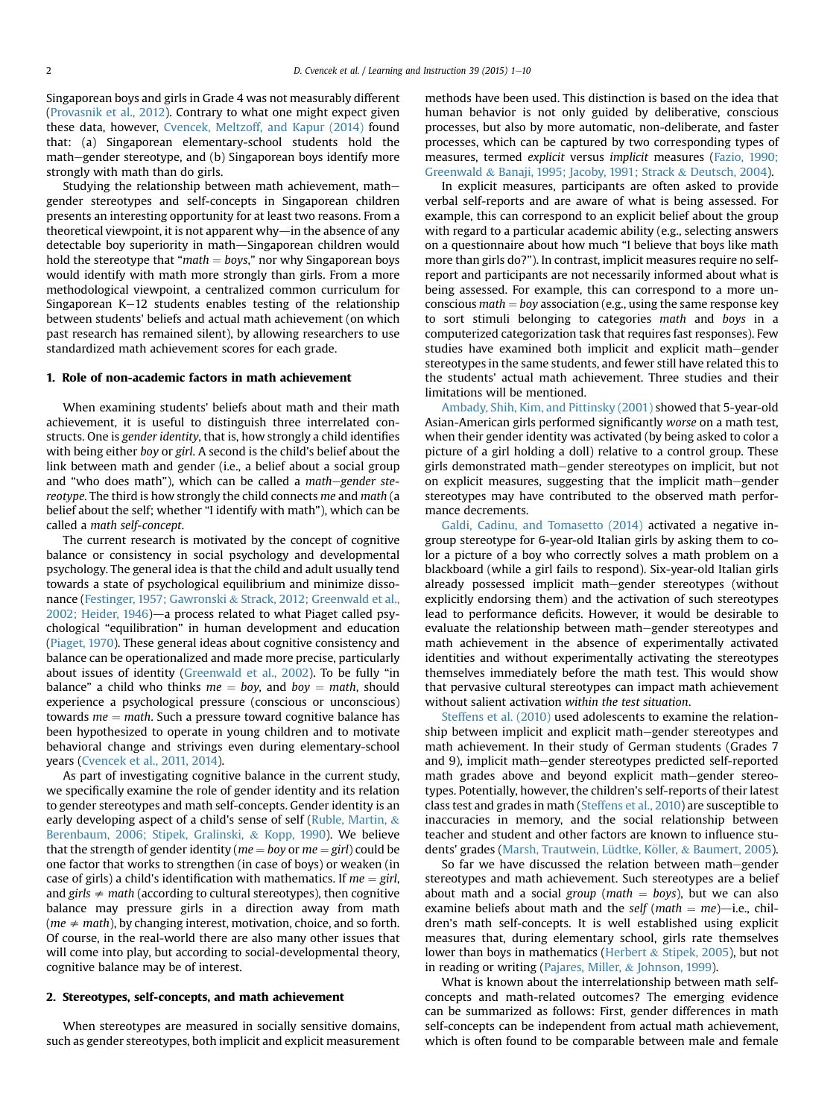Singaporean boys and girls in Grade 4 was not measurably different ([Provasnik et al., 2012](#page-9-0)). Contrary to what one might expect given these data, however, [Cvencek, Meltzoff, and Kapur \(2014\)](#page-8-0) found that: (a) Singaporean elementary-school students hold the math-gender stereotype, and (b) Singaporean boys identify more strongly with math than do girls.

Studying the relationship between math achievement, mathgender stereotypes and self-concepts in Singaporean children presents an interesting opportunity for at least two reasons. From a theoretical viewpoint, it is not apparent why—in the absence of any detectable boy superiority in math-Singaporean children would hold the stereotype that " $math = boys$ ," nor why Singaporean boys would identify with math more strongly than girls. From a more methodological viewpoint, a centralized common curriculum for Singaporean  $K-12$  students enables testing of the relationship between students' beliefs and actual math achievement (on which past research has remained silent), by allowing researchers to use standardized math achievement scores for each grade.

## 1. Role of non-academic factors in math achievement

When examining students' beliefs about math and their math achievement, it is useful to distinguish three interrelated constructs. One is gender identity, that is, how strongly a child identifies with being either boy or girl. A second is the child's belief about the link between math and gender (i.e., a belief about a social group and "who does math"), which can be called a math-gender stereotype. The third is how strongly the child connects me and math (a belief about the self; whether "I identify with math"), which can be called a math self-concept.

The current research is motivated by the concept of cognitive balance or consistency in social psychology and developmental psychology. The general idea is that the child and adult usually tend towards a state of psychological equilibrium and minimize dissonance [\(Festinger, 1957; Gawronski](#page-8-0) & [Strack, 2012; Greenwald et al.,](#page-8-0) 2002; Heider,  $1946$ )—a process related to what Piaget called psychological "equilibration" in human development and education ([Piaget, 1970\)](#page-9-0). These general ideas about cognitive consistency and balance can be operationalized and made more precise, particularly about issues of identity ([Greenwald et al., 2002](#page-8-0)). To be fully "in balance" a child who thinks  $me = boy$ , and  $boy = math$ , should experience a psychological pressure (conscious or unconscious) towards  $me = math$ . Such a pressure toward cognitive balance has been hypothesized to operate in young children and to motivate behavioral change and strivings even during elementary-school years [\(Cvencek et al., 2011, 2014](#page-8-0)).

As part of investigating cognitive balance in the current study, we specifically examine the role of gender identity and its relation to gender stereotypes and math self-concepts. Gender identity is an early developing aspect of a child's sense of self [\(Ruble, Martin,](#page-9-0)  $\&$ [Berenbaum, 2006; Stipek, Gralinski,](#page-9-0) & [Kopp, 1990](#page-9-0)). We believe that the strength of gender identity ( $me = boy$  or  $me = girl$ ) could be one factor that works to strengthen (in case of boys) or weaken (in case of girls) a child's identification with mathematics. If  $me = girl$ , and girls  $\neq$  math (according to cultural stereotypes), then cognitive balance may pressure girls in a direction away from math (*me*  $\neq$  *math*), by changing interest, motivation, choice, and so forth. Of course, in the real-world there are also many other issues that will come into play, but according to social-developmental theory, cognitive balance may be of interest.

# 2. Stereotypes, self-concepts, and math achievement

When stereotypes are measured in socially sensitive domains, such as gender stereotypes, both implicit and explicit measurement methods have been used. This distinction is based on the idea that human behavior is not only guided by deliberative, conscious processes, but also by more automatic, non-deliberate, and faster processes, which can be captured by two corresponding types of measures, termed explicit versus implicit measures [\(Fazio, 1990;](#page-8-0) [Greenwald](#page-8-0) & [Banaji, 1995; Jacoby, 1991; Strack](#page-8-0) & [Deutsch, 2004\)](#page-8-0).

In explicit measures, participants are often asked to provide verbal self-reports and are aware of what is being assessed. For example, this can correspond to an explicit belief about the group with regard to a particular academic ability (e.g., selecting answers on a questionnaire about how much "I believe that boys like math more than girls do?"). In contrast, implicit measures require no selfreport and participants are not necessarily informed about what is being assessed. For example, this can correspond to a more unconscious  $math = boy$  association (e.g., using the same response key to sort stimuli belonging to categories math and boys in a computerized categorization task that requires fast responses). Few studies have examined both implicit and explicit math–gender stereotypes in the same students, and fewer still have related this to the students' actual math achievement. Three studies and their limitations will be mentioned.

[Ambady, Shih, Kim, and Pittinsky \(2001\)](#page-8-0) showed that 5-year-old Asian-American girls performed significantly worse on a math test, when their gender identity was activated (by being asked to color a picture of a girl holding a doll) relative to a control group. These girls demonstrated math-gender stereotypes on implicit, but not on explicit measures, suggesting that the implicit math-gender stereotypes may have contributed to the observed math performance decrements.

[Galdi, Cadinu, and Tomasetto \(2014\)](#page-8-0) activated a negative ingroup stereotype for 6-year-old Italian girls by asking them to color a picture of a boy who correctly solves a math problem on a blackboard (while a girl fails to respond). Six-year-old Italian girls already possessed implicit math-gender stereotypes (without explicitly endorsing them) and the activation of such stereotypes lead to performance deficits. However, it would be desirable to evaluate the relationship between math–gender stereotypes and math achievement in the absence of experimentally activated identities and without experimentally activating the stereotypes themselves immediately before the math test. This would show that pervasive cultural stereotypes can impact math achievement without salient activation within the test situation.

[Steffens et al. \(2010\)](#page-9-0) used adolescents to examine the relationship between implicit and explicit math-gender stereotypes and math achievement. In their study of German students (Grades 7 and 9), implicit math-gender stereotypes predicted self-reported math grades above and beyond explicit math-gender stereotypes. Potentially, however, the children's self-reports of their latest class test and grades in math ([Steffens et al., 2010](#page-9-0)) are susceptible to inaccuracies in memory, and the social relationship between teacher and student and other factors are known to influence stu-dents' grades (Marsh, Trautwein, Lüdtke, Köller, & [Baumert, 2005\)](#page-9-0).

So far we have discussed the relation between math–gender stereotypes and math achievement. Such stereotypes are a belief about math and a social group (math  $=$  boys), but we can also examine beliefs about math and the self (math  $=$  me)-i.e., children's math self-concepts. It is well established using explicit measures that, during elementary school, girls rate themselves lower than boys in mathematics ([Herbert](#page-8-0)  $&$  [Stipek, 2005\)](#page-8-0), but not in reading or writing ([Pajares, Miller,](#page-9-0) & [Johnson, 1999](#page-9-0)).

What is known about the interrelationship between math selfconcepts and math-related outcomes? The emerging evidence can be summarized as follows: First, gender differences in math self-concepts can be independent from actual math achievement, which is often found to be comparable between male and female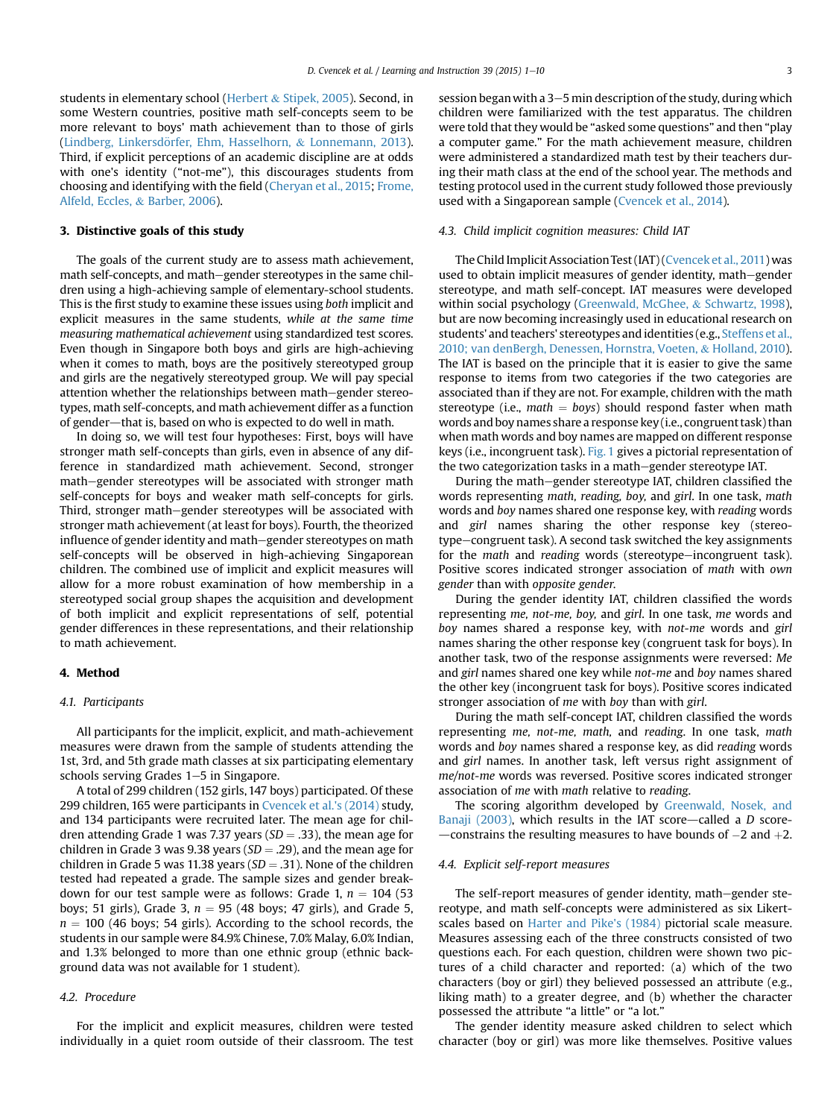students in elementary school [\(Herbert](#page-8-0) & [Stipek, 2005\)](#page-8-0). Second, in some Western countries, positive math self-concepts seem to be more relevant to boys' math achievement than to those of girls (Lindberg, Linkersdörfer, Ehm, Hasselhorn, & [Lonnemann, 2013\)](#page-9-0). Third, if explicit perceptions of an academic discipline are at odds with one's identity ("not-me"), this discourages students from choosing and identifying with the field [\(Cheryan et al., 2015](#page-8-0); [Frome,](#page-8-0) [Alfeld, Eccles,](#page-8-0) & [Barber, 2006](#page-8-0)).

## 3. Distinctive goals of this study

The goals of the current study are to assess math achievement, math self-concepts, and math-gender stereotypes in the same children using a high-achieving sample of elementary-school students. This is the first study to examine these issues using both implicit and explicit measures in the same students, while at the same time measuring mathematical achievement using standardized test scores. Even though in Singapore both boys and girls are high-achieving when it comes to math, boys are the positively stereotyped group and girls are the negatively stereotyped group. We will pay special attention whether the relationships between math-gender stereotypes, math self-concepts, and math achievement differ as a function of gender—that is, based on who is expected to do well in math.

In doing so, we will test four hypotheses: First, boys will have stronger math self-concepts than girls, even in absence of any difference in standardized math achievement. Second, stronger math-gender stereotypes will be associated with stronger math self-concepts for boys and weaker math self-concepts for girls. Third, stronger math–gender stereotypes will be associated with stronger math achievement (at least for boys). Fourth, the theorized influence of gender identity and math–gender stereotypes on math self-concepts will be observed in high-achieving Singaporean children. The combined use of implicit and explicit measures will allow for a more robust examination of how membership in a stereotyped social group shapes the acquisition and development of both implicit and explicit representations of self, potential gender differences in these representations, and their relationship to math achievement.

## 4. Method

## 4.1. Participants

All participants for the implicit, explicit, and math-achievement measures were drawn from the sample of students attending the 1st, 3rd, and 5th grade math classes at six participating elementary schools serving Grades  $1-5$  in Singapore.

A total of 299 children (152 girls, 147 boys) participated. Of these 299 children, 165 were participants in [Cvencek et al.'s \(2014\)](#page-8-0) study, and 134 participants were recruited later. The mean age for children attending Grade 1 was 7.37 years ( $SD = .33$ ), the mean age for children in Grade 3 was 9.38 years ( $SD = .29$ ), and the mean age for children in Grade 5 was 11.38 years ( $SD = .31$ ). None of the children tested had repeated a grade. The sample sizes and gender breakdown for our test sample were as follows: Grade 1,  $n = 104$  (53) boys; 51 girls), Grade 3,  $n = 95$  (48 boys; 47 girls), and Grade 5,  $n = 100$  (46 boys; 54 girls). According to the school records, the students in our sample were 84.9% Chinese, 7.0% Malay, 6.0% Indian, and 1.3% belonged to more than one ethnic group (ethnic background data was not available for 1 student).

## 4.2. Procedure

For the implicit and explicit measures, children were tested individually in a quiet room outside of their classroom. The test session began with a  $3-5$  min description of the study, during which children were familiarized with the test apparatus. The children were told that they would be "asked some questions" and then "play a computer game." For the math achievement measure, children were administered a standardized math test by their teachers during their math class at the end of the school year. The methods and testing protocol used in the current study followed those previously used with a Singaporean sample [\(Cvencek et al., 2014](#page-8-0)).

## 4.3. Child implicit cognition measures: Child IAT

The Child Implicit Association Test (IAT) ([Cvencek et al., 2011\)](#page-8-0) was used to obtain implicit measures of gender identity, math-gender stereotype, and math self-concept. IAT measures were developed within social psychology ([Greenwald, McGhee,](#page-8-0) & [Schwartz, 1998\)](#page-8-0), but are now becoming increasingly used in educational research on students' and teachers' stereotypes and identities (e.g., [Steffens et al.,](#page-9-0) [2010; van denBergh, Denessen, Hornstra, Voeten,](#page-9-0) & [Holland, 2010\)](#page-9-0). The IAT is based on the principle that it is easier to give the same response to items from two categories if the two categories are associated than if they are not. For example, children with the math stereotype (i.e., math  $=$  boys) should respond faster when math words and boy names share a response key (i.e., congruent task) than when math words and boy names are mapped on different response keys (i.e., incongruent task). [Fig. 1](#page-3-0) gives a pictorial representation of the two categorization tasks in a math-gender stereotype IAT.

During the math-gender stereotype IAT, children classified the words representing math, reading, boy, and girl. In one task, math words and boy names shared one response key, with reading words and girl names sharing the other response key (stereotype-congruent task). A second task switched the key assignments for the math and reading words (stereotype-incongruent task). Positive scores indicated stronger association of math with own gender than with opposite gender.

During the gender identity IAT, children classified the words representing me, not-me, boy, and girl. In one task, me words and boy names shared a response key, with not-me words and girl names sharing the other response key (congruent task for boys). In another task, two of the response assignments were reversed: Me and girl names shared one key while not-me and boy names shared the other key (incongruent task for boys). Positive scores indicated stronger association of me with boy than with girl.

During the math self-concept IAT, children classified the words representing me, not-me, math, and reading. In one task, math words and boy names shared a response key, as did reading words and girl names. In another task, left versus right assignment of me/not-me words was reversed. Positive scores indicated stronger association of me with math relative to reading.

The scoring algorithm developed by [Greenwald, Nosek, and](#page-8-0) [Banaji \(2003\),](#page-8-0) which results in the IAT score-called a  $D$  score- $-$ constrains the resulting measures to have bounds of  $-2$  and  $+2$ .

#### 4.4. Explicit self-report measures

The self-report measures of gender identity, math-gender stereotype, and math self-concepts were administered as six Likertscales based on [Harter and Pike's \(1984\)](#page-8-0) pictorial scale measure. Measures assessing each of the three constructs consisted of two questions each. For each question, children were shown two pictures of a child character and reported: (a) which of the two characters (boy or girl) they believed possessed an attribute (e.g., liking math) to a greater degree, and (b) whether the character possessed the attribute "a little" or "a lot."

The gender identity measure asked children to select which character (boy or girl) was more like themselves. Positive values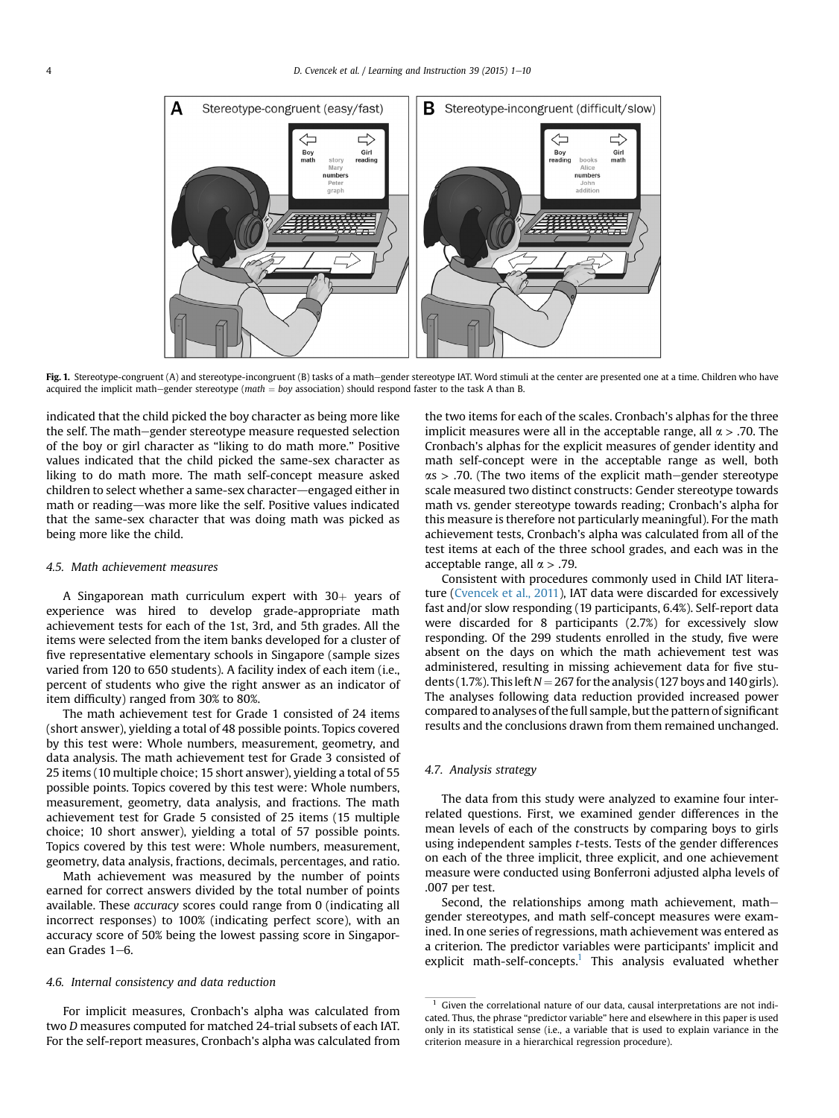<span id="page-3-0"></span>

Fig. 1. Stereotype-congruent (A) and stereotype-incongruent (B) tasks of a math-gender stereotype IAT. Word stimuli at the center are presented one at a time. Children who have acquired the implicit math-gender stereotype (math  $=$  boy association) should respond faster to the task A than B.

indicated that the child picked the boy character as being more like the self. The math–gender stereotype measure requested selection of the boy or girl character as "liking to do math more." Positive values indicated that the child picked the same-sex character as liking to do math more. The math self-concept measure asked children to select whether a same-sex character-engaged either in math or reading—was more like the self. Positive values indicated that the same-sex character that was doing math was picked as being more like the child.

### 4.5. Math achievement measures

A Singaporean math curriculum expert with  $30<sub>+</sub>$  years of experience was hired to develop grade-appropriate math achievement tests for each of the 1st, 3rd, and 5th grades. All the items were selected from the item banks developed for a cluster of five representative elementary schools in Singapore (sample sizes varied from 120 to 650 students). A facility index of each item (i.e., percent of students who give the right answer as an indicator of item difficulty) ranged from 30% to 80%.

The math achievement test for Grade 1 consisted of 24 items (short answer), yielding a total of 48 possible points. Topics covered by this test were: Whole numbers, measurement, geometry, and data analysis. The math achievement test for Grade 3 consisted of 25 items (10 multiple choice; 15 short answer), yielding a total of 55 possible points. Topics covered by this test were: Whole numbers, measurement, geometry, data analysis, and fractions. The math achievement test for Grade 5 consisted of 25 items (15 multiple choice; 10 short answer), yielding a total of 57 possible points. Topics covered by this test were: Whole numbers, measurement, geometry, data analysis, fractions, decimals, percentages, and ratio.

Math achievement was measured by the number of points earned for correct answers divided by the total number of points available. These accuracy scores could range from 0 (indicating all incorrect responses) to 100% (indicating perfect score), with an accuracy score of 50% being the lowest passing score in Singaporean Grades  $1-6$ .

## 4.6. Internal consistency and data reduction

For implicit measures, Cronbach's alpha was calculated from two D measures computed for matched 24-trial subsets of each IAT. For the self-report measures, Cronbach's alpha was calculated from the two items for each of the scales. Cronbach's alphas for the three implicit measures were all in the acceptable range, all  $\alpha$  > .70. The Cronbach's alphas for the explicit measures of gender identity and math self-concept were in the acceptable range as well, both  $\alpha$ s > .70. (The two items of the explicit math–gender stereotype scale measured two distinct constructs: Gender stereotype towards math vs. gender stereotype towards reading; Cronbach's alpha for this measure is therefore not particularly meaningful). For the math achievement tests, Cronbach's alpha was calculated from all of the test items at each of the three school grades, and each was in the acceptable range, all  $\alpha$  > .79.

Consistent with procedures commonly used in Child IAT literature ([Cvencek et al., 2011](#page-8-0)), IAT data were discarded for excessively fast and/or slow responding (19 participants, 6.4%). Self-report data were discarded for 8 participants (2.7%) for excessively slow responding. Of the 299 students enrolled in the study, five were absent on the days on which the math achievement test was administered, resulting in missing achievement data for five students (1.7%). This left  $N = 267$  for the analysis (127 boys and 140 girls). The analyses following data reduction provided increased power compared to analyses of the full sample, but the pattern of significant results and the conclusions drawn from them remained unchanged.

## 4.7. Analysis strategy

The data from this study were analyzed to examine four interrelated questions. First, we examined gender differences in the mean levels of each of the constructs by comparing boys to girls using independent samples t-tests. Tests of the gender differences on each of the three implicit, three explicit, and one achievement measure were conducted using Bonferroni adjusted alpha levels of .007 per test.

Second, the relationships among math achievement, mathgender stereotypes, and math self-concept measures were examined. In one series of regressions, math achievement was entered as a criterion. The predictor variables were participants' implicit and explicit math-self-concepts.<sup>1</sup> This analysis evaluated whether

 $1$  Given the correlational nature of our data, causal interpretations are not indicated. Thus, the phrase "predictor variable" here and elsewhere in this paper is used only in its statistical sense (i.e., a variable that is used to explain variance in the criterion measure in a hierarchical regression procedure).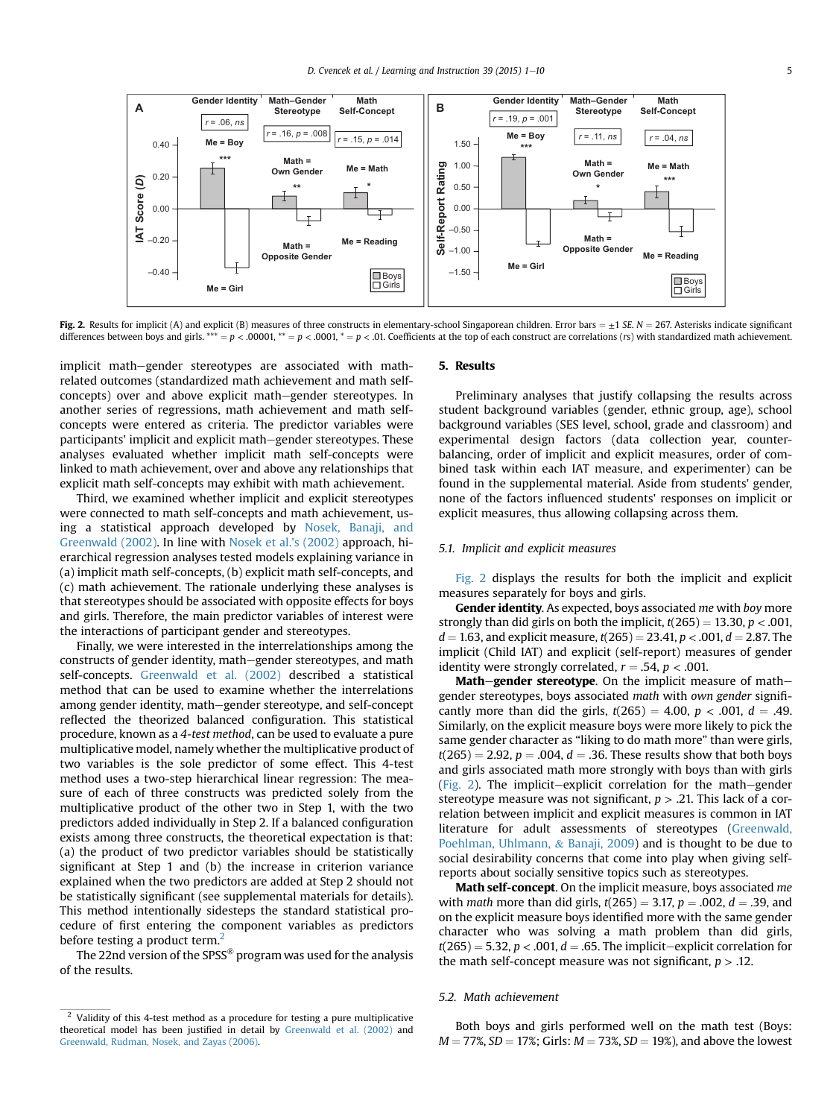<span id="page-4-0"></span>

Fig. 2. Results for implicit (A) and explicit (B) measures of three constructs in elementary-school Singaporean children. Error bars  $= \pm 1$  SE, N = 267. Asterisks indicate significant differences between boys and girls. \*\*\* =  $p$  < .00001, \*\* =  $p$  < .0001, \* =  $p$  < .0001, \* =  $p$  < .0001, \*\* =  $p$  < .0001, \*\* =  $p$  < .0001, \*\* =  $p$  < .0001, \*\* =  $p$  < .0001, \*\* =  $p$  < .001. Coefficients at the top

implicit math-gender stereotypes are associated with mathrelated outcomes (standardized math achievement and math selfconcepts) over and above explicit math–gender stereotypes. In another series of regressions, math achievement and math selfconcepts were entered as criteria. The predictor variables were participants' implicit and explicit math–gender stereotypes. These analyses evaluated whether implicit math self-concepts were linked to math achievement, over and above any relationships that explicit math self-concepts may exhibit with math achievement.

Third, we examined whether implicit and explicit stereotypes were connected to math self-concepts and math achievement, using a statistical approach developed by [Nosek, Banaji, and](#page-9-0) [Greenwald \(2002\)](#page-9-0). In line with [Nosek et al.](#page-9-0)'s (2002) approach, hierarchical regression analyses tested models explaining variance in (a) implicit math self-concepts, (b) explicit math self-concepts, and (c) math achievement. The rationale underlying these analyses is that stereotypes should be associated with opposite effects for boys and girls. Therefore, the main predictor variables of interest were the interactions of participant gender and stereotypes.

Finally, we were interested in the interrelationships among the constructs of gender identity, math–gender stereotypes, and math self-concepts. [Greenwald et al. \(2002\)](#page-8-0) described a statistical method that can be used to examine whether the interrelations among gender identity, math-gender stereotype, and self-concept reflected the theorized balanced configuration. This statistical procedure, known as a 4-test method, can be used to evaluate a pure multiplicative model, namely whether the multiplicative product of two variables is the sole predictor of some effect. This 4-test method uses a two-step hierarchical linear regression: The measure of each of three constructs was predicted solely from the multiplicative product of the other two in Step 1, with the two predictors added individually in Step 2. If a balanced configuration exists among three constructs, the theoretical expectation is that: (a) the product of two predictor variables should be statistically significant at Step 1 and (b) the increase in criterion variance explained when the two predictors are added at Step 2 should not be statistically significant (see supplemental materials for details). This method intentionally sidesteps the standard statistical procedure of first entering the component variables as predictors before testing a product term. $<sup>2</sup>$ </sup>

The 22nd version of the  $SPSS^{\circledast}$  program was used for the analysis of the results.

## 5. Results

Preliminary analyses that justify collapsing the results across student background variables (gender, ethnic group, age), school background variables (SES level, school, grade and classroom) and experimental design factors (data collection year, counterbalancing, order of implicit and explicit measures, order of combined task within each IAT measure, and experimenter) can be found in the supplemental material. Aside from students' gender, none of the factors influenced students' responses on implicit or explicit measures, thus allowing collapsing across them.

## 5.1. Implicit and explicit measures

Fig. 2 displays the results for both the implicit and explicit measures separately for boys and girls.

Gender identity. As expected, boys associated me with boy more strongly than did girls on both the implicit,  $t(265) = 13.30, p < .001,$  $d = 1.63$ , and explicit measure,  $t(265) = 23.41$ ,  $p < .001$ ,  $d = 2.87$ . The implicit (Child IAT) and explicit (self-report) measures of gender identity were strongly correlated,  $r = .54$ ,  $p < .001$ .

Math-gender stereotype. On the implicit measure of mathgender stereotypes, boys associated math with own gender significantly more than did the girls,  $t(265) = 4.00$ ,  $p < .001$ ,  $d = .49$ . Similarly, on the explicit measure boys were more likely to pick the same gender character as "liking to do math more" than were girls,  $t(265) = 2.92$ ,  $p = .004$ ,  $d = .36$ . These results show that both boys and girls associated math more strongly with boys than with girls (Fig. 2). The implicit-explicit correlation for the math-gender stereotype measure was not significant,  $p > 0.21$ . This lack of a correlation between implicit and explicit measures is common in IAT literature for adult assessments of stereotypes ([Greenwald,](#page-8-0) [Poehlman, Uhlmann,](#page-8-0) & [Banaji, 2009](#page-8-0)) and is thought to be due to social desirability concerns that come into play when giving selfreports about socially sensitive topics such as stereotypes.

Math self-concept. On the implicit measure, boys associated me with *math* more than did girls,  $t(265) = 3.17$ ,  $p = .002$ ,  $d = .39$ , and on the explicit measure boys identified more with the same gender character who was solving a math problem than did girls,  $t(265) = 5.32$ ,  $p < .001$ ,  $d = .65$ . The implicit-explicit correlation for the math self-concept measure was not significant,  $p > .12$ .

#### 5.2. Math achievement

Both boys and girls performed well on the math test (Boys:  $M = 77\%, SD = 17\%;$  Girls:  $M = 73\%, SD = 19\%$ ), and above the lowest

<sup>&</sup>lt;sup>2</sup> Validity of this 4-test method as a procedure for testing a pure multiplicative theoretical model has been justified in detail by [Greenwald et al. \(2002\)](#page-8-0) and [Greenwald, Rudman, Nosek, and Zayas \(2006\)](#page-8-0).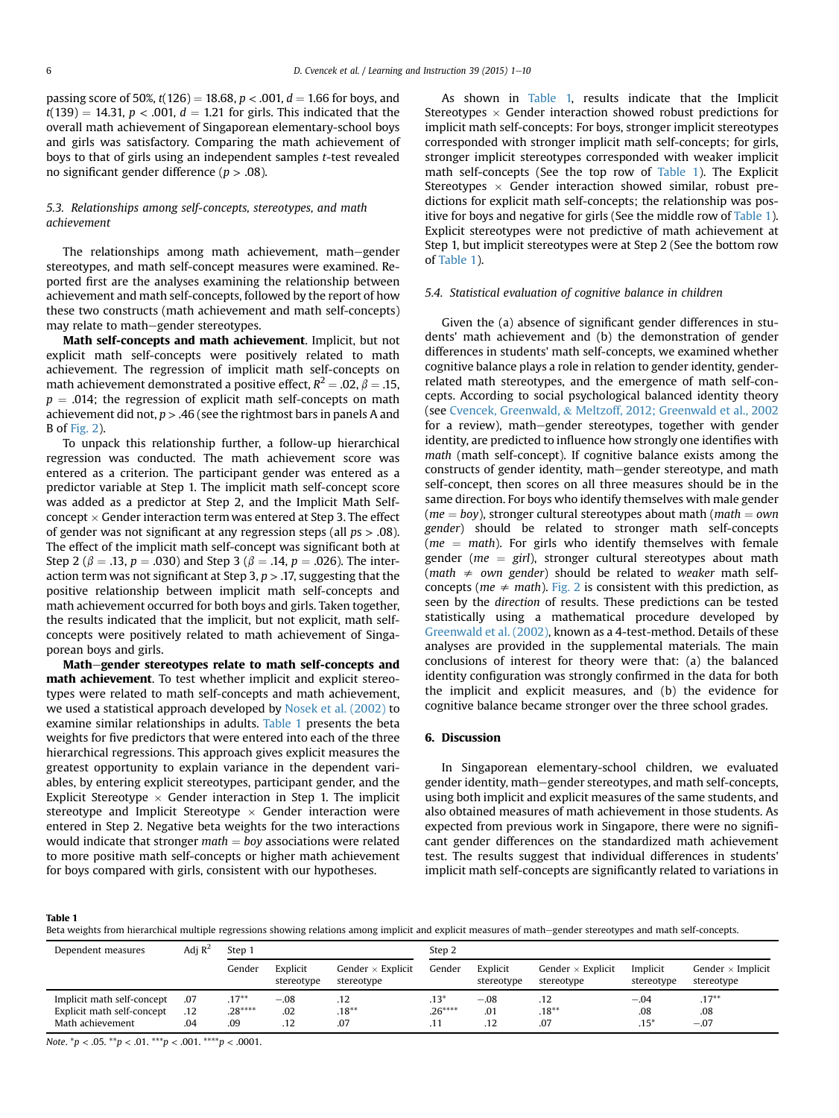passing score of 50%,  $t(126) = 18.68$ ,  $p < .001$ ,  $d = 1.66$  for boys, and  $t(139) = 14.31, p < .001, d = 1.21$  for girls. This indicated that the overall math achievement of Singaporean elementary-school boys and girls was satisfactory. Comparing the math achievement of boys to that of girls using an independent samples t-test revealed no significant gender difference ( $p > .08$ ).

# 5.3. Relationships among self-concepts, stereotypes, and math achievement

The relationships among math achievement, math-gender stereotypes, and math self-concept measures were examined. Reported first are the analyses examining the relationship between achievement and math self-concepts, followed by the report of how these two constructs (math achievement and math self-concepts) may relate to math-gender stereotypes.

Math self-concepts and math achievement. Implicit, but not explicit math self-concepts were positively related to math achievement. The regression of implicit math self-concepts on math achievement demonstrated a positive effect,  $R^2 = .02$ ,  $\beta = .15$ ,  $p = .014$ ; the regression of explicit math self-concepts on math achievement did not,  $p > .46$  (see the rightmost bars in panels A and B of [Fig. 2](#page-4-0)).

To unpack this relationship further, a follow-up hierarchical regression was conducted. The math achievement score was entered as a criterion. The participant gender was entered as a predictor variable at Step 1. The implicit math self-concept score was added as a predictor at Step 2, and the Implicit Math Selfconcept  $\times$  Gender interaction term was entered at Step 3. The effect of gender was not significant at any regression steps (all  $ps > .08$ ). The effect of the implicit math self-concept was significant both at Step 2 ( $\beta$  = .13, p = .030) and Step 3 ( $\beta$  = .14, p = .026). The interaction term was not significant at Step 3,  $p > 0.17$ , suggesting that the positive relationship between implicit math self-concepts and math achievement occurred for both boys and girls. Taken together, the results indicated that the implicit, but not explicit, math selfconcepts were positively related to math achievement of Singaporean boys and girls.

Math–gender stereotypes relate to math self-concepts and math achievement. To test whether implicit and explicit stereotypes were related to math self-concepts and math achievement, we used a statistical approach developed by [Nosek et al. \(2002\)](#page-9-0) to examine similar relationships in adults. Table 1 presents the beta weights for five predictors that were entered into each of the three hierarchical regressions. This approach gives explicit measures the greatest opportunity to explain variance in the dependent variables, by entering explicit stereotypes, participant gender, and the Explicit Stereotype  $\times$  Gender interaction in Step 1. The implicit stereotype and Implicit Stereotype  $\times$  Gender interaction were entered in Step 2. Negative beta weights for the two interactions would indicate that stronger  $math = boy$  associations were related to more positive math self-concepts or higher math achievement for boys compared with girls, consistent with our hypotheses.

As shown in Table 1, results indicate that the Implicit Stereotypes  $\times$  Gender interaction showed robust predictions for implicit math self-concepts: For boys, stronger implicit stereotypes corresponded with stronger implicit math self-concepts; for girls, stronger implicit stereotypes corresponded with weaker implicit math self-concepts (See the top row of Table 1). The Explicit Stereotypes  $\times$  Gender interaction showed similar, robust predictions for explicit math self-concepts; the relationship was positive for boys and negative for girls (See the middle row of Table 1). Explicit stereotypes were not predictive of math achievement at Step 1, but implicit stereotypes were at Step 2 (See the bottom row of Table 1).

## 5.4. Statistical evaluation of cognitive balance in children

Given the (a) absence of significant gender differences in students' math achievement and (b) the demonstration of gender differences in students' math self-concepts, we examined whether cognitive balance plays a role in relation to gender identity, genderrelated math stereotypes, and the emergence of math self-concepts. According to social psychological balanced identity theory (see [Cvencek, Greenwald,](#page-8-0) & [Meltzoff, 2012; Greenwald et al., 2002](#page-8-0) for a review), math-gender stereotypes, together with gender identity, are predicted to influence how strongly one identifies with math (math self-concept). If cognitive balance exists among the constructs of gender identity, math–gender stereotype, and math self-concept, then scores on all three measures should be in the same direction. For boys who identify themselves with male gender ( $me = boy$ ), stronger cultural stereotypes about math ( $math = own$ gender) should be related to stronger math self-concepts ( $me = math$ ). For girls who identify themselves with female gender ( $me = girl$ ), stronger cultural stereotypes about math (math  $\neq$  own gender) should be related to weaker math selfconcepts ( $me \neq math$ ). [Fig. 2](#page-4-0) is consistent with this prediction, as seen by the direction of results. These predictions can be tested statistically using a mathematical procedure developed by [Greenwald et al. \(2002\)](#page-8-0), known as a 4-test-method. Details of these analyses are provided in the supplemental materials. The main conclusions of interest for theory were that: (a) the balanced identity configuration was strongly confirmed in the data for both the implicit and explicit measures, and (b) the evidence for cognitive balance became stronger over the three school grades.

# 6. Discussion

In Singaporean elementary-school children, we evaluated gender identity, math-gender stereotypes, and math self-concepts, using both implicit and explicit measures of the same students, and also obtained measures of math achievement in those students. As expected from previous work in Singapore, there were no significant gender differences on the standardized math achievement test. The results suggest that individual differences in students' implicit math self-concepts are significantly related to variations in

Table 1

Beta weights from hierarchical multiple regressions showing relations among implicit and explicit measures of math-gender stereotypes and math self-concepts.

| Dependent measures         | Adi $\mathbb{R}^2$ | Step 1   |                        |                                        | Step 2   |                        |                                        |                        |                                        |
|----------------------------|--------------------|----------|------------------------|----------------------------------------|----------|------------------------|----------------------------------------|------------------------|----------------------------------------|
|                            |                    | Gender   | Explicit<br>stereotype | Gender $\times$ Explicit<br>stereotype | Gender   | Explicit<br>stereotype | Gender $\times$ Explicit<br>stereotype | Implicit<br>stereotype | Gender $\times$ Implicit<br>stereotype |
| Implicit math self-concept | .07                | $.17***$ | $-.08$                 | .12                                    | $.13*$   | $-.08$                 |                                        | $-.04$                 | $.17***$                               |
| Explicit math self-concept | .12                | $.28***$ | .02                    | $.18***$                               | $.26***$ | .01                    | $.18***$                               | .08                    | .08                                    |
| Math achievement           | .04                | .09      | .12                    | .07                                    |          | .12                    | .07                                    | $.15*$                 | $-.07$                                 |

Note.  ${}^*p < .05.$   ${}^{**}p < .01.$   ${}^{***}p < .001.$   ${}^{***}p < .0001.$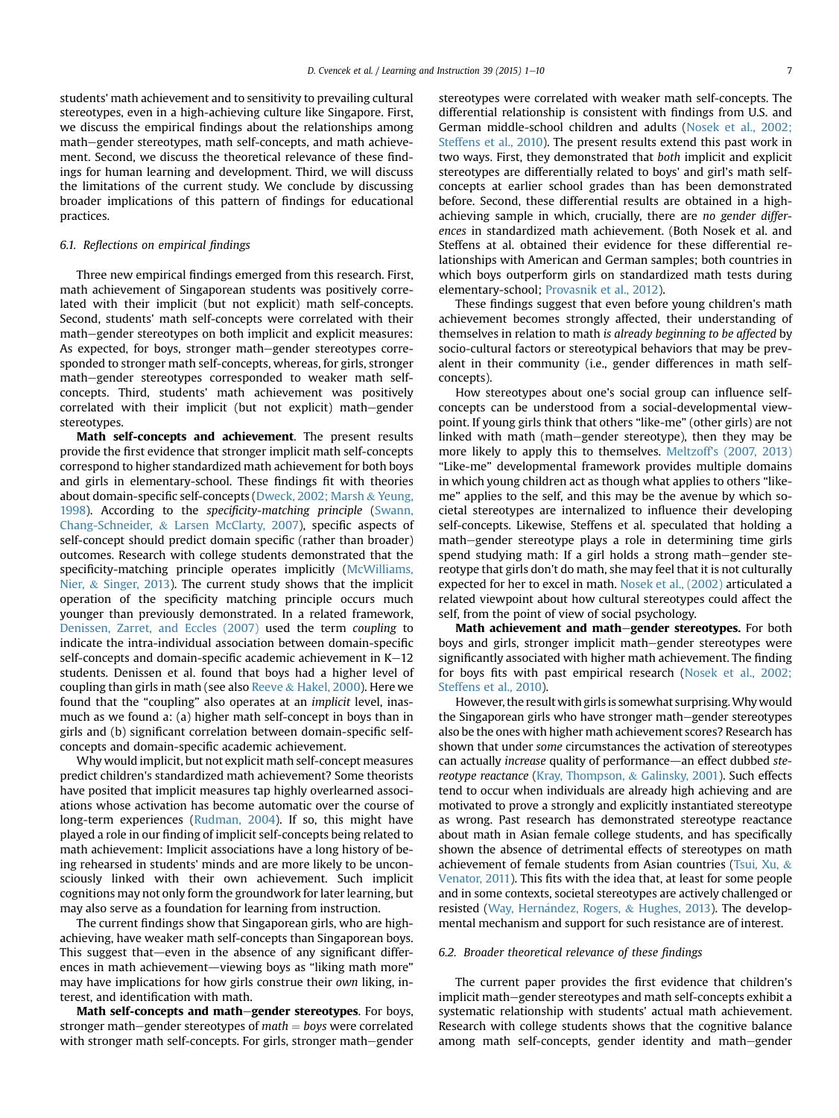students' math achievement and to sensitivity to prevailing cultural stereotypes, even in a high-achieving culture like Singapore. First, we discuss the empirical findings about the relationships among math-gender stereotypes, math self-concepts, and math achievement. Second, we discuss the theoretical relevance of these findings for human learning and development. Third, we will discuss the limitations of the current study. We conclude by discussing broader implications of this pattern of findings for educational practices.

## 6.1. Reflections on empirical findings

Three new empirical findings emerged from this research. First, math achievement of Singaporean students was positively correlated with their implicit (but not explicit) math self-concepts. Second, students' math self-concepts were correlated with their math–gender stereotypes on both implicit and explicit measures: As expected, for boys, stronger math-gender stereotypes corresponded to stronger math self-concepts, whereas, for girls, stronger math-gender stereotypes corresponded to weaker math selfconcepts. Third, students' math achievement was positively correlated with their implicit (but not explicit) math-gender stereotypes.

Math self-concepts and achievement. The present results provide the first evidence that stronger implicit math self-concepts correspond to higher standardized math achievement for both boys and girls in elementary-school. These findings fit with theories about domain-specific self-concepts ([Dweck, 2002; Marsh](#page-8-0) & [Yeung,](#page-8-0) [1998\)](#page-8-0). According to the specificity-matching principle [\(Swann,](#page-9-0) [Chang-Schneider,](#page-9-0) & [Larsen McClarty, 2007](#page-9-0)), specific aspects of self-concept should predict domain specific (rather than broader) outcomes. Research with college students demonstrated that the specificity-matching principle operates implicitly [\(McWilliams,](#page-9-0) [Nier,](#page-9-0) & [Singer, 2013\)](#page-9-0). The current study shows that the implicit operation of the specificity matching principle occurs much younger than previously demonstrated. In a related framework, [Denissen, Zarret, and Eccles \(2007\)](#page-8-0) used the term coupling to indicate the intra-individual association between domain-specific self-concepts and domain-specific academic achievement in  $K-12$ students. Denissen et al. found that boys had a higher level of coupling than girls in math (see also [Reeve](#page-9-0)  $&$  [Hakel, 2000\)](#page-9-0). Here we found that the "coupling" also operates at an implicit level, inasmuch as we found a: (a) higher math self-concept in boys than in girls and (b) significant correlation between domain-specific selfconcepts and domain-specific academic achievement.

Why would implicit, but not explicit math self-concept measures predict children's standardized math achievement? Some theorists have posited that implicit measures tap highly overlearned associations whose activation has become automatic over the course of long-term experiences ([Rudman, 2004](#page-9-0)). If so, this might have played a role in our finding of implicit self-concepts being related to math achievement: Implicit associations have a long history of being rehearsed in students' minds and are more likely to be unconsciously linked with their own achievement. Such implicit cognitions may not only form the groundwork for later learning, but may also serve as a foundation for learning from instruction.

The current findings show that Singaporean girls, who are highachieving, have weaker math self-concepts than Singaporean boys. This suggest that—even in the absence of any significant differences in math achievement—viewing boys as "liking math more" may have implications for how girls construe their own liking, interest, and identification with math.

Math self-concepts and math-gender stereotypes. For boys, stronger math–gender stereotypes of  $math = boys$  were correlated with stronger math self-concepts. For girls, stronger math–gender stereotypes were correlated with weaker math self-concepts. The differential relationship is consistent with findings from U.S. and German middle-school children and adults ([Nosek et al., 2002;](#page-9-0) [Steffens et al., 2010](#page-9-0)). The present results extend this past work in two ways. First, they demonstrated that both implicit and explicit stereotypes are differentially related to boys' and girl's math selfconcepts at earlier school grades than has been demonstrated before. Second, these differential results are obtained in a highachieving sample in which, crucially, there are no gender differences in standardized math achievement. (Both Nosek et al. and Steffens at al. obtained their evidence for these differential relationships with American and German samples; both countries in which boys outperform girls on standardized math tests during elementary-school; [Provasnik et al., 2012\)](#page-9-0).

These findings suggest that even before young children's math achievement becomes strongly affected, their understanding of themselves in relation to math is already beginning to be affected by socio-cultural factors or stereotypical behaviors that may be prevalent in their community (i.e., gender differences in math selfconcepts).

How stereotypes about one's social group can influence selfconcepts can be understood from a social-developmental viewpoint. If young girls think that others "like-me" (other girls) are not linked with math (math-gender stereotype), then they may be more likely to apply this to themselves. [Meltzoff's \(2007, 2013\)](#page-9-0) "Like-me" developmental framework provides multiple domains in which young children act as though what applies to others "likeme" applies to the self, and this may be the avenue by which societal stereotypes are internalized to influence their developing self-concepts. Likewise, Steffens et al. speculated that holding a math–gender stereotype plays a role in determining time girls spend studying math: If a girl holds a strong math-gender stereotype that girls don't do math, she may feel that it is not culturally expected for her to excel in math. [Nosek et al., \(2002\)](#page-9-0) articulated a related viewpoint about how cultural stereotypes could affect the self, from the point of view of social psychology.

Math achievement and math-gender stereotypes. For both boys and girls, stronger implicit math–gender stereotypes were significantly associated with higher math achievement. The finding for boys fits with past empirical research [\(Nosek et al., 2002;](#page-9-0) [Steffens et al., 2010\)](#page-9-0).

However, the result with girls is somewhat surprising.Why would the Singaporean girls who have stronger math–gender stereotypes also be the ones with higher math achievement scores? Research has shown that under some circumstances the activation of stereotypes can actually increase quality of performance-an effect dubbed stereotype reactance [\(Kray, Thompson,](#page-8-0) & [Galinsky, 2001](#page-8-0)). Such effects tend to occur when individuals are already high achieving and are motivated to prove a strongly and explicitly instantiated stereotype as wrong. Past research has demonstrated stereotype reactance about math in Asian female college students, and has specifically shown the absence of detrimental effects of stereotypes on math achievement of female students from Asian countries [\(Tsui, Xu,](#page-9-0) & [Venator, 2011](#page-9-0)). This fits with the idea that, at least for some people and in some contexts, societal stereotypes are actively challenged or resisted (Way, Hernández, Rogers, & [Hughes, 2013\)](#page-9-0). The developmental mechanism and support for such resistance are of interest.

#### 6.2. Broader theoretical relevance of these findings

The current paper provides the first evidence that children's implicit math-gender stereotypes and math self-concepts exhibit a systematic relationship with students' actual math achievement. Research with college students shows that the cognitive balance among math self-concepts, gender identity and math-gender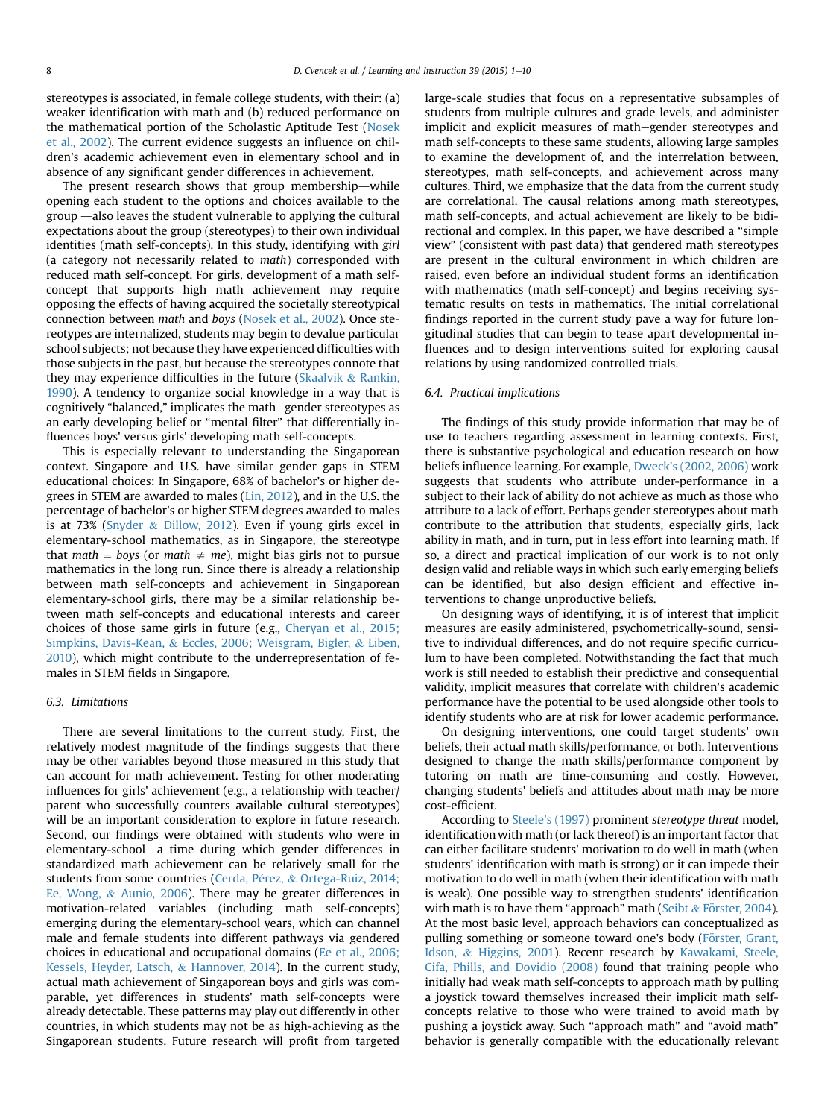stereotypes is associated, in female college students, with their: (a) weaker identification with math and (b) reduced performance on the mathematical portion of the Scholastic Aptitude Test ([Nosek](#page-9-0) [et al., 2002](#page-9-0)). The current evidence suggests an influence on children's academic achievement even in elementary school and in absence of any significant gender differences in achievement.

The present research shows that group membership—while opening each student to the options and choices available to the  $group$   $-$ also leaves the student vulnerable to applying the cultural expectations about the group (stereotypes) to their own individual identities (math self-concepts). In this study, identifying with girl (a category not necessarily related to math) corresponded with reduced math self-concept. For girls, development of a math selfconcept that supports high math achievement may require opposing the effects of having acquired the societally stereotypical connection between math and boys ([Nosek et al., 2002\)](#page-9-0). Once stereotypes are internalized, students may begin to devalue particular school subjects; not because they have experienced difficulties with those subjects in the past, but because the stereotypes connote that they may experience difficulties in the future [\(Skaalvik](#page-9-0) & [Rankin,](#page-9-0) [1990](#page-9-0)). A tendency to organize social knowledge in a way that is cognitively "balanced," implicates the math-gender stereotypes as an early developing belief or "mental filter" that differentially influences boys' versus girls' developing math self-concepts.

This is especially relevant to understanding the Singaporean context. Singapore and U.S. have similar gender gaps in STEM educational choices: In Singapore, 68% of bachelor's or higher degrees in STEM are awarded to males [\(Lin, 2012\)](#page-9-0), and in the U.S. the percentage of bachelor's or higher STEM degrees awarded to males is at 73% ([Snyder](#page-9-0) & [Dillow, 2012\)](#page-9-0). Even if young girls excel in elementary-school mathematics, as in Singapore, the stereotype that math  $=$  boys (or math  $\neq$  me), might bias girls not to pursue mathematics in the long run. Since there is already a relationship between math self-concepts and achievement in Singaporean elementary-school girls, there may be a similar relationship between math self-concepts and educational interests and career choices of those same girls in future (e.g., [Cheryan et al., 2015;](#page-8-0) [Simpkins, Davis-Kean,](#page-8-0) & [Eccles, 2006; Weisgram, Bigler,](#page-8-0) & [Liben,](#page-8-0) [2010](#page-8-0)), which might contribute to the underrepresentation of females in STEM fields in Singapore.

#### 6.3. Limitations

There are several limitations to the current study. First, the relatively modest magnitude of the findings suggests that there may be other variables beyond those measured in this study that can account for math achievement. Testing for other moderating influences for girls' achievement (e.g., a relationship with teacher/ parent who successfully counters available cultural stereotypes) will be an important consideration to explore in future research. Second, our findings were obtained with students who were in elementary-school-a time during which gender differences in standardized math achievement can be relatively small for the students from some countries (Cerda, Pérez, & [Ortega-Ruiz, 2014;](#page-8-0) [Ee, Wong,](#page-8-0) & [Aunio, 2006](#page-8-0)). There may be greater differences in motivation-related variables (including math self-concepts) emerging during the elementary-school years, which can channel male and female students into different pathways via gendered choices in educational and occupational domains ([Ee et al., 2006;](#page-8-0) [Kessels, Heyder, Latsch,](#page-8-0) & [Hannover, 2014\)](#page-8-0). In the current study, actual math achievement of Singaporean boys and girls was comparable, yet differences in students' math self-concepts were already detectable. These patterns may play out differently in other countries, in which students may not be as high-achieving as the Singaporean students. Future research will profit from targeted large-scale studies that focus on a representative subsamples of students from multiple cultures and grade levels, and administer implicit and explicit measures of math-gender stereotypes and math self-concepts to these same students, allowing large samples to examine the development of, and the interrelation between, stereotypes, math self-concepts, and achievement across many cultures. Third, we emphasize that the data from the current study are correlational. The causal relations among math stereotypes, math self-concepts, and actual achievement are likely to be bidirectional and complex. In this paper, we have described a "simple view" (consistent with past data) that gendered math stereotypes are present in the cultural environment in which children are raised, even before an individual student forms an identification with mathematics (math self-concept) and begins receiving systematic results on tests in mathematics. The initial correlational findings reported in the current study pave a way for future longitudinal studies that can begin to tease apart developmental influences and to design interventions suited for exploring causal relations by using randomized controlled trials.

#### 6.4. Practical implications

The findings of this study provide information that may be of use to teachers regarding assessment in learning contexts. First, there is substantive psychological and education research on how beliefs influence learning. For example, [Dweck's \(2002, 2006\)](#page-8-0) work suggests that students who attribute under-performance in a subject to their lack of ability do not achieve as much as those who attribute to a lack of effort. Perhaps gender stereotypes about math contribute to the attribution that students, especially girls, lack ability in math, and in turn, put in less effort into learning math. If so, a direct and practical implication of our work is to not only design valid and reliable ways in which such early emerging beliefs can be identified, but also design efficient and effective interventions to change unproductive beliefs.

On designing ways of identifying, it is of interest that implicit measures are easily administered, psychometrically-sound, sensitive to individual differences, and do not require specific curriculum to have been completed. Notwithstanding the fact that much work is still needed to establish their predictive and consequential validity, implicit measures that correlate with children's academic performance have the potential to be used alongside other tools to identify students who are at risk for lower academic performance.

On designing interventions, one could target students' own beliefs, their actual math skills/performance, or both. Interventions designed to change the math skills/performance component by tutoring on math are time-consuming and costly. However, changing students' beliefs and attitudes about math may be more cost-efficient.

According to [Steele's \(1997\)](#page-9-0) prominent stereotype threat model, identification with math (or lack thereof) is an important factor that can either facilitate students' motivation to do well in math (when students' identification with math is strong) or it can impede their motivation to do well in math (when their identification with math is weak). One possible way to strengthen students' identification with math is to have them "approach" math [\(Seibt](#page-9-0) & [F](#page-9-0)ö[rster, 2004](#page-9-0)). At the most basic level, approach behaviors can conceptualized as pulling something or someone toward one's body [\(F](#page-8-0)ö[rster, Grant,](#page-8-0) [Idson,](#page-8-0) & [Higgins, 2001\)](#page-8-0). Recent research by [Kawakami, Steele,](#page-8-0) [Cifa, Phills, and Dovidio \(2008\)](#page-8-0) found that training people who initially had weak math self-concepts to approach math by pulling a joystick toward themselves increased their implicit math selfconcepts relative to those who were trained to avoid math by pushing a joystick away. Such "approach math" and "avoid math" behavior is generally compatible with the educationally relevant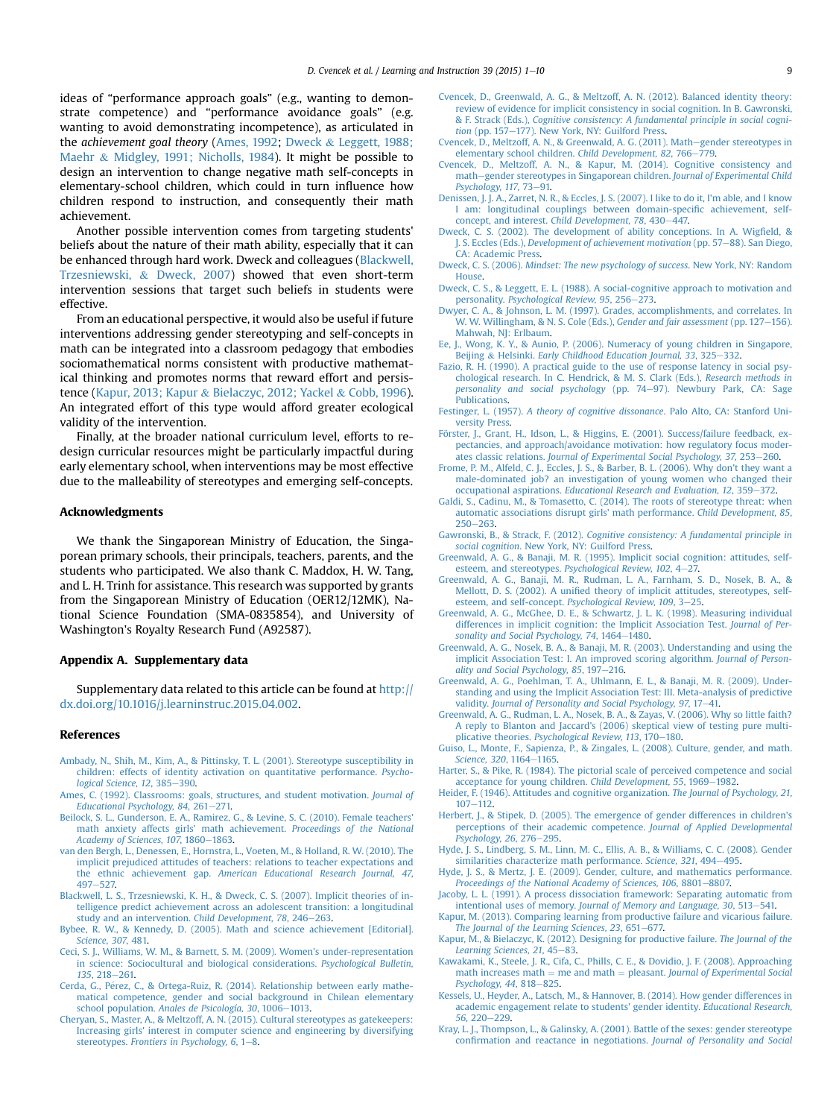<span id="page-8-0"></span>ideas of "performance approach goals" (e.g., wanting to demonstrate competence) and "performance avoidance goals" (e.g. wanting to avoid demonstrating incompetence), as articulated in the achievement goal theory (Ames, 1992; Dweck & Leggett, 1988; Maehr & Midgley, 1991; Nicholls, 1984). It might be possible to design an intervention to change negative math self-concepts in elementary-school children, which could in turn influence how children respond to instruction, and consequently their math achievement.

Another possible intervention comes from targeting students' beliefs about the nature of their math ability, especially that it can be enhanced through hard work. Dweck and colleagues (Blackwell, Trzesniewski, & Dweck, 2007) showed that even short-term intervention sessions that target such beliefs in students were effective.

From an educational perspective, it would also be useful if future interventions addressing gender stereotyping and self-concepts in math can be integrated into a classroom pedagogy that embodies sociomathematical norms consistent with productive mathematical thinking and promotes norms that reward effort and persistence (Kapur, 2013; Kapur & Bielaczyc, 2012; Yackel & Cobb, 1996). An integrated effort of this type would afford greater ecological validity of the intervention.

Finally, at the broader national curriculum level, efforts to redesign curricular resources might be particularly impactful during early elementary school, when interventions may be most effective due to the malleability of stereotypes and emerging self-concepts.

## Acknowledgments

We thank the Singaporean Ministry of Education, the Singaporean primary schools, their principals, teachers, parents, and the students who participated. We also thank C. Maddox, H. W. Tang, and L. H. Trinh for assistance. This research was supported by grants from the Singaporean Ministry of Education (OER12/12MK), National Science Foundation (SMA-0835854), and University of Washington's Royalty Research Fund (A92587).

#### Appendix A. Supplementary data

Supplementary data related to this article can be found at [http://](http://dx.doi.org/10.1016/j.learninstruc.2015.04.002) [dx.doi.org/10.1016/j.learninstruc.2015.04.002.](http://dx.doi.org/10.1016/j.learninstruc.2015.04.002)

## References

- [Ambady, N., Shih, M., Kim, A., & Pittinsky, T. L. \(2001\). Stereotype susceptibility in](http://refhub.elsevier.com/S0959-4752(15)00034-1/sref1) [children: effects of identity activation on quantitative performance.](http://refhub.elsevier.com/S0959-4752(15)00034-1/sref1) Psycho[logical Science, 12](http://refhub.elsevier.com/S0959-4752(15)00034-1/sref1), 385-[390.](http://refhub.elsevier.com/S0959-4752(15)00034-1/sref1)
- [Ames, C. \(1992\). Classrooms: goals, structures, and student motivation.](http://refhub.elsevier.com/S0959-4752(15)00034-1/sref2) Journal of [Educational Psychology, 84](http://refhub.elsevier.com/S0959-4752(15)00034-1/sref2), 261-[271.](http://refhub.elsevier.com/S0959-4752(15)00034-1/sref2)<br>[Beilock, S. L., Gunderson, E. A., Ramirez, G., & Levine, S. C. \(2010\). Female teachers'](http://refhub.elsevier.com/S0959-4752(15)00034-1/sref3)
- [math anxiety affects girls' math achievement.](http://refhub.elsevier.com/S0959-4752(15)00034-1/sref3) Proceedings of the National [Academy of Sciences, 107](http://refhub.elsevier.com/S0959-4752(15)00034-1/sref3), 1860-[1863](http://refhub.elsevier.com/S0959-4752(15)00034-1/sref3).
- [van den Bergh, L., Denessen, E., Hornstra, L., Voeten, M., & Holland, R. W. \(2010\). The](http://refhub.elsevier.com/S0959-4752(15)00034-1/sref4) [implicit prejudiced attitudes of teachers: relations to teacher expectations and](http://refhub.elsevier.com/S0959-4752(15)00034-1/sref4) the ethnic achievement gap. *[American Educational Research Journal, 47](http://refhub.elsevier.com/S0959-4752(15)00034-1/sref4)*,<br>[497](http://refhub.elsevier.com/S0959-4752(15)00034-1/sref4)–[527.](http://refhub.elsevier.com/S0959-4752(15)00034-1/sref4)
- [Blackwell, L. S., Trzesniewski, K. H., & Dweck, C. S. \(2007\). Implicit theories of in](http://refhub.elsevier.com/S0959-4752(15)00034-1/sref5)[telligence predict achievement across an adolescent transition: a longitudinal](http://refhub.elsevier.com/S0959-4752(15)00034-1/sref5) [study and an intervention.](http://refhub.elsevier.com/S0959-4752(15)00034-1/sref5) Child Development, 78, 246-[263](http://refhub.elsevier.com/S0959-4752(15)00034-1/sref5).
- [Bybee, R. W., & Kennedy, D. \(2005\). Math and science achievement \[Editorial\].](http://refhub.elsevier.com/S0959-4752(15)00034-1/sref6) [Science, 307](http://refhub.elsevier.com/S0959-4752(15)00034-1/sref6), 481.
- [Ceci, S. J., Williams, W. M., & Barnett, S. M. \(2009\). Women's under-representation](http://refhub.elsevier.com/S0959-4752(15)00034-1/sref8) [in science: Sociocultural and biological considerations.](http://refhub.elsevier.com/S0959-4752(15)00034-1/sref8) Psychological Bulletin,  $135, 218 - 261$  $135, 218 - 261$  $135, 218 - 261$
- [Cerda, G., P](http://refhub.elsevier.com/S0959-4752(15)00034-1/sref9)é[rez, C., & Ortega-Ruiz, R. \(2014\). Relationship between early mathe](http://refhub.elsevier.com/S0959-4752(15)00034-1/sref9) [matical competence, gender and social background in Chilean elementary](http://refhub.elsevier.com/S0959-4752(15)00034-1/sref9) school population. [Anales de Psicología, 30](http://refhub.elsevier.com/S0959-4752(15)00034-1/sref9), 1006-[1013.](http://refhub.elsevier.com/S0959-4752(15)00034-1/sref9)
- [Cheryan, S., Master, A., & Meltzoff, A. N. \(2015\). Cultural stereotypes as gatekeepers:](http://refhub.elsevier.com/S0959-4752(15)00034-1/sref10) [Increasing girls' interest in computer science and engineering by diversifying](http://refhub.elsevier.com/S0959-4752(15)00034-1/sref10) stereotypes. [Frontiers in Psychology, 6](http://refhub.elsevier.com/S0959-4752(15)00034-1/sref10), 1-[8.](http://refhub.elsevier.com/S0959-4752(15)00034-1/sref10)
- [Cvencek, D., Greenwald, A. G., & Meltzoff, A. N. \(2012\). Balanced identity theory:](http://refhub.elsevier.com/S0959-4752(15)00034-1/sref11) [review of evidence for implicit consistency in social cognition. In B. Gawronski,](http://refhub.elsevier.com/S0959-4752(15)00034-1/sref11) & F. Strack (Eds.), [Cognitive consistency: A fundamental principle in social cogni](http://refhub.elsevier.com/S0959-4752(15)00034-1/sref11)tion (pp.  $157-177$ ). New York, NY: Guilford Press.
- [Cvencek, D., Meltzoff, A. N., & Greenwald, A. G. \(2011\). Math](http://refhub.elsevier.com/S0959-4752(15)00034-1/sref12)e[gender stereotypes in](http://refhub.elsevier.com/S0959-4752(15)00034-1/sref12) [elementary school children.](http://refhub.elsevier.com/S0959-4752(15)00034-1/sref12) Child Development, 82, 766-[779.](http://refhub.elsevier.com/S0959-4752(15)00034-1/sref12)
- [Cvencek, D., Meltzoff, A. N., & Kapur, M. \(2014\). Cognitive consistency and](http://refhub.elsevier.com/S0959-4752(15)00034-1/sref13) [math](http://refhub.elsevier.com/S0959-4752(15)00034-1/sref13)-[gender stereotypes in Singaporean children.](http://refhub.elsevier.com/S0959-4752(15)00034-1/sref13) Journal of Experimental Child  $P<sub>svchol</sub>$ gy, 117, 73–[91.](http://refhub.elsevier.com/S0959-4752(15)00034-1/sref13)
- [Denissen, J. J. A., Zarret, N. R., & Eccles, J. S. \(2007\). I like to do it, I'm able, and I know](http://refhub.elsevier.com/S0959-4752(15)00034-1/sref14) [I am: longitudinal couplings between domain-speci](http://refhub.elsevier.com/S0959-4752(15)00034-1/sref14)fic achievement, self-concept, and interest. [Child Development, 78](http://refhub.elsevier.com/S0959-4752(15)00034-1/sref14), 430–[447.](http://refhub.elsevier.com/S0959-4752(15)00034-1/sref14)
- [Dweck, C. S. \(2002\). The development of ability conceptions. In A. Wig](http://refhub.elsevier.com/S0959-4752(15)00034-1/sref15)field, & J. S. Eccles (Eds.), [Development of achievement motivation](http://refhub.elsevier.com/S0959-4752(15)00034-1/sref15) (pp. 57-[88\). San Diego,](http://refhub.elsevier.com/S0959-4752(15)00034-1/sref15) [CA: Academic Press](http://refhub.elsevier.com/S0959-4752(15)00034-1/sref15).
- Dweck, C. S. (2006). [Mindset: The new psychology of success](http://refhub.elsevier.com/S0959-4752(15)00034-1/sref16). New York, NY: Random [House](http://refhub.elsevier.com/S0959-4752(15)00034-1/sref16).
- [Dweck, C. S., & Leggett, E. L. \(1988\). A social-cognitive approach to motivation and](http://refhub.elsevier.com/S0959-4752(15)00034-1/sref17) personality. [Psychological Review, 95](http://refhub.elsevier.com/S0959-4752(15)00034-1/sref17), 256–[273](http://refhub.elsevier.com/S0959-4752(15)00034-1/sref17).<br>[Dwyer, C. A., & Johnson, L. M. \(1997\). Grades, accomplishments, and correlates. In](http://refhub.elsevier.com/S0959-4752(15)00034-1/sref18)
- [W. W. Willingham, & N. S. Cole \(Eds.\),](http://refhub.elsevier.com/S0959-4752(15)00034-1/sref18) Gender and fair assessment (pp. 127-[156\).](http://refhub.elsevier.com/S0959-4752(15)00034-1/sref18) [Mahwah, NJ: Erlbaum](http://refhub.elsevier.com/S0959-4752(15)00034-1/sref18).
- [Ee, J., Wong, K. Y., & Aunio, P. \(2006\). Numeracy of young children in Singapore,](http://refhub.elsevier.com/S0959-4752(15)00034-1/sref19) [Beijing](http://refhub.elsevier.com/S0959-4752(15)00034-1/sref19) & Helsinki. [Early Childhood Education Journal, 33](http://refhub.elsevier.com/S0959-4752(15)00034-1/sref19), 325–[332](http://refhub.elsevier.com/S0959-4752(15)00034-1/sref19).
- [Fazio, R. H. \(1990\). A practical guide to the use of response latency in social psy](http://refhub.elsevier.com/S0959-4752(15)00034-1/sref20)[chological research. In C. Hendrick, & M. S. Clark \(Eds.\),](http://refhub.elsevier.com/S0959-4752(15)00034-1/sref20) Research methods in [personality and social psychology](http://refhub.elsevier.com/S0959-4752(15)00034-1/sref20) (pp. 74-[97\). Newbury Park, CA: Sage](http://refhub.elsevier.com/S0959-4752(15)00034-1/sref20) [Publications](http://refhub.elsevier.com/S0959-4752(15)00034-1/sref20).
- Festinger, L. (1957). [A theory of cognitive dissonance](http://refhub.elsevier.com/S0959-4752(15)00034-1/sref21). Palo Alto, CA: Stanford Uni[versity Press.](http://refhub.elsevier.com/S0959-4752(15)00034-1/sref21)
- Förster, J., Grant, H., Idson, L., & Higgins, E. (2001). Success/failure feedback, ex[pectancies, and approach/avoidance motivation: how regulatory focus moder-](http://refhub.elsevier.com/S0959-4752(15)00034-1/sref22)ates classic relations. [Journal of Experimental Social Psychology, 37](http://refhub.elsevier.com/S0959-4752(15)00034-1/sref22), 253-[260](http://refhub.elsevier.com/S0959-4752(15)00034-1/sref22).
- [Frome, P. M., Alfeld, C. J., Eccles, J. S., & Barber, B. L. \(2006\). Why don't they want a](http://refhub.elsevier.com/S0959-4752(15)00034-1/sref23) [male-dominated job? an investigation of young women who changed their](http://refhub.elsevier.com/S0959-4752(15)00034-1/sref23) occupational aspirations. [Educational Research and Evaluation, 12](http://refhub.elsevier.com/S0959-4752(15)00034-1/sref23), 359-[372.](http://refhub.elsevier.com/S0959-4752(15)00034-1/sref23)
- [Galdi, S., Cadinu, M., & Tomasetto, C. \(2014\). The roots of stereotype threat: when](http://refhub.elsevier.com/S0959-4752(15)00034-1/sref24) [automatic associations disrupt girls' math performance.](http://refhub.elsevier.com/S0959-4752(15)00034-1/sref24) Child Development, 85,  $250 - 263$  $250 - 263$  $250 - 263$
- Gawronski, B., & Strack, F. (2012). [Cognitive consistency: A fundamental principle in](http://refhub.elsevier.com/S0959-4752(15)00034-1/sref26) social cognition[. New York, NY: Guilford Press.](http://refhub.elsevier.com/S0959-4752(15)00034-1/sref26)
- [Greenwald, A. G., & Banaji, M. R. \(1995\). Implicit social cognition: attitudes, self](http://refhub.elsevier.com/S0959-4752(15)00034-1/sref27)[esteem, and stereotypes.](http://refhub.elsevier.com/S0959-4752(15)00034-1/sref27) Psychological Review, 102, 4-[27.](http://refhub.elsevier.com/S0959-4752(15)00034-1/sref27)
- Greenwald, A. G., Banaji, M. R., Rudman, L. A., Farnham, S. D., Nosek, B. A., Mellott, D. S. (2002). A unifi[ed theory of implicit attitudes, stereotypes, self](http://refhub.elsevier.com/S0959-4752(15)00034-1/sref28)[esteem, and self-concept.](http://refhub.elsevier.com/S0959-4752(15)00034-1/sref28) Psychological Review, 109, 3-[25](http://refhub.elsevier.com/S0959-4752(15)00034-1/sref28).
- [Greenwald, A. G., McGhee, D. E., & Schwartz, J. L. K. \(1998\). Measuring individual](http://refhub.elsevier.com/S0959-4752(15)00034-1/sref29) [differences in implicit cognition: the Implicit Association Test.](http://refhub.elsevier.com/S0959-4752(15)00034-1/sref29) Journal of Per[sonality and Social Psychology, 74](http://refhub.elsevier.com/S0959-4752(15)00034-1/sref29), 1464-[1480.](http://refhub.elsevier.com/S0959-4752(15)00034-1/sref29)
- [Greenwald, A. G., Nosek, B. A., & Banaji, M. R. \(2003\). Understanding and using the](http://refhub.elsevier.com/S0959-4752(15)00034-1/sref30) [implicit Association Test: I. An improved scoring algorithm.](http://refhub.elsevier.com/S0959-4752(15)00034-1/sref30) Journal of Person[ality and Social Psychology, 85](http://refhub.elsevier.com/S0959-4752(15)00034-1/sref30), 197-[216.](http://refhub.elsevier.com/S0959-4752(15)00034-1/sref30)
- [Greenwald, A. G., Poehlman, T. A., Uhlmann, E. L., & Banaji, M. R. \(2009\). Under](http://refhub.elsevier.com/S0959-4752(15)00034-1/sref31)[standing and using the Implicit Association Test: III. Meta-analysis of predictive](http://refhub.elsevier.com/S0959-4752(15)00034-1/sref31) validity. [Journal of Personality and Social Psychology, 97](http://refhub.elsevier.com/S0959-4752(15)00034-1/sref31), 17-[41.](http://refhub.elsevier.com/S0959-4752(15)00034-1/sref31)
- [Greenwald, A. G., Rudman, L. A., Nosek, B. A., & Zayas, V. \(2006\). Why so little faith?](http://refhub.elsevier.com/S0959-4752(15)00034-1/sref32) [A reply to Blanton and Jaccard's \(2006\) skeptical view of testing pure multi-](http://refhub.elsevier.com/S0959-4752(15)00034-1/sref32)plicative theories. [Psychological Review, 113](http://refhub.elsevier.com/S0959-4752(15)00034-1/sref32), 170-[180.](http://refhub.elsevier.com/S0959-4752(15)00034-1/sref32)
- [Guiso, L., Monte, F., Sapienza, P., & Zingales, L. \(2008\). Culture, gender, and math.](http://refhub.elsevier.com/S0959-4752(15)00034-1/sref33) [Science, 320](http://refhub.elsevier.com/S0959-4752(15)00034-1/sref33), 1164-[1165](http://refhub.elsevier.com/S0959-4752(15)00034-1/sref33).
- [Harter, S., & Pike, R. \(1984\). The pictorial scale of perceived competence and social](http://refhub.elsevier.com/S0959-4752(15)00034-1/sref35) [acceptance for young children.](http://refhub.elsevier.com/S0959-4752(15)00034-1/sref35) Child Development, 55, 1969-[1982](http://refhub.elsevier.com/S0959-4752(15)00034-1/sref35).
- [Heider, F. \(1946\). Attitudes and cognitive organization.](http://refhub.elsevier.com/S0959-4752(15)00034-1/sref36) The Journal of Psychology, 21,  $107 - 112.$  $107 - 112.$  $107 - 112.$
- [Herbert, J., & Stipek, D. \(2005\). The emergence of gender differences in children's](http://refhub.elsevier.com/S0959-4752(15)00034-1/sref37) [perceptions of their academic competence.](http://refhub.elsevier.com/S0959-4752(15)00034-1/sref37) Journal of Applied Developmental [Psychology, 26](http://refhub.elsevier.com/S0959-4752(15)00034-1/sref37), 276-[295](http://refhub.elsevier.com/S0959-4752(15)00034-1/sref37).
- [Hyde, J. S., Lindberg, S. M., Linn, M. C., Ellis, A. B., & Williams, C. C. \(2008\). Gender](http://refhub.elsevier.com/S0959-4752(15)00034-1/sref38) [similarities characterize math performance.](http://refhub.elsevier.com/S0959-4752(15)00034-1/sref38) Science, 321, 494-[495](http://refhub.elsevier.com/S0959-4752(15)00034-1/sref38).
- [Hyde, J. S., & Mertz, J. E. \(2009\). Gender, culture, and mathematics performance.](http://refhub.elsevier.com/S0959-4752(15)00034-1/sref39) [Proceedings of the National Academy of Sciences, 106](http://refhub.elsevier.com/S0959-4752(15)00034-1/sref39), 8801-[8807.](http://refhub.elsevier.com/S0959-4752(15)00034-1/sref39)
- [Jacoby, L. L. \(1991\). A process dissociation framework: Separating automatic from](http://refhub.elsevier.com/S0959-4752(15)00034-1/sref40) intentional uses of memory. [Journal of Memory and Language, 30](http://refhub.elsevier.com/S0959-4752(15)00034-1/sref40), 513-[541.](http://refhub.elsevier.com/S0959-4752(15)00034-1/sref40) [Kapur, M. \(2013\). Comparing learning from productive failure and vicarious failure.](http://refhub.elsevier.com/S0959-4752(15)00034-1/sref42)
- [The Journal of the Learning Sciences, 23](http://refhub.elsevier.com/S0959-4752(15)00034-1/sref42), 651-[677.](http://refhub.elsevier.com/S0959-4752(15)00034-1/sref42)
- [Kapur, M., & Bielaczyc, K. \(2012\). Designing for productive failure.](http://refhub.elsevier.com/S0959-4752(15)00034-1/sref43) The Journal of the [Learning Sciences, 21](http://refhub.elsevier.com/S0959-4752(15)00034-1/sref43), 45-[83.](http://refhub.elsevier.com/S0959-4752(15)00034-1/sref43)
- [Kawakami, K., Steele, J. R., Cifa, C., Phills, C. E., & Dovidio, J. F. \(2008\). Approaching](http://refhub.elsevier.com/S0959-4752(15)00034-1/sref44) [math increases math](http://refhub.elsevier.com/S0959-4752(15)00034-1/sref44)  $=$  [me and math](http://refhub.elsevier.com/S0959-4752(15)00034-1/sref44)  $=$  pleasant. [Journal of Experimental Social](http://refhub.elsevier.com/S0959-4752(15)00034-1/sref44) [Psychology, 44](http://refhub.elsevier.com/S0959-4752(15)00034-1/sref44), 818-[825](http://refhub.elsevier.com/S0959-4752(15)00034-1/sref44).
- [Kessels, U., Heyder, A., Latsch, M., & Hannover, B. \(2014\). How gender differences in](http://refhub.elsevier.com/S0959-4752(15)00034-1/sref45) [academic engagement relate to students' gender identity.](http://refhub.elsevier.com/S0959-4752(15)00034-1/sref45) Educational Research,  $56.220 - 229.$  $56.220 - 229.$  $56.220 - 229.$
- [Kray, L. J., Thompson, L., & Galinsky, A. \(2001\). Battle of the sexes: gender stereotype](http://refhub.elsevier.com/S0959-4752(15)00034-1/sref46) confi[rmation and reactance in negotiations.](http://refhub.elsevier.com/S0959-4752(15)00034-1/sref46) Journal of Personality and Social